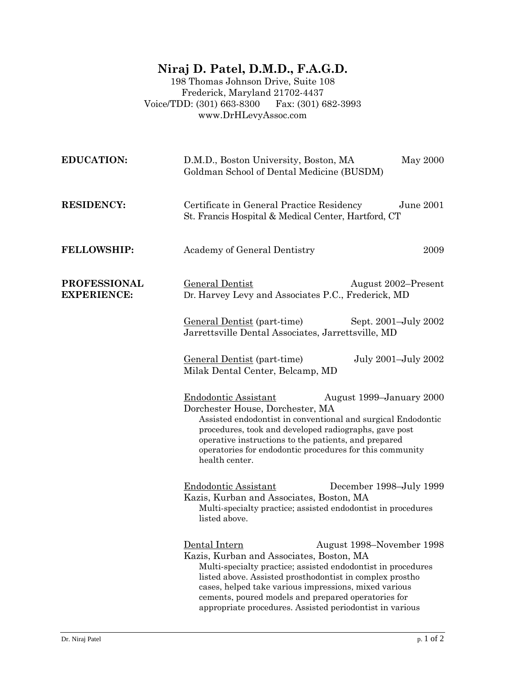## **Niraj D. Patel, D.M.D., F.A.G.D.**

198 Thomas Johnson Drive, Suite 108 Frederick, Maryland 21702-4437<br>DD: (301) 663-8300 Fax: (301) 682-3993 Voice/TDD: (301) 663-8300 www.DrHLevyAssoc.com

| <b>EDUCATION:</b>                         | D.M.D., Boston University, Boston, MA<br>May 2000<br>Goldman School of Dental Medicine (BUSDM)                                                                                                                                                                                                                                                                                                                                                       |  |
|-------------------------------------------|------------------------------------------------------------------------------------------------------------------------------------------------------------------------------------------------------------------------------------------------------------------------------------------------------------------------------------------------------------------------------------------------------------------------------------------------------|--|
| <b>RESIDENCY:</b>                         | Certificate in General Practice Residency<br>June 2001<br>St. Francis Hospital & Medical Center, Hartford, CT                                                                                                                                                                                                                                                                                                                                        |  |
| <b>FELLOWSHIP:</b>                        | Academy of General Dentistry<br>2009                                                                                                                                                                                                                                                                                                                                                                                                                 |  |
| <b>PROFESSIONAL</b><br><b>EXPERIENCE:</b> | <b>General Dentist</b><br>August 2002–Present<br>Dr. Harvey Levy and Associates P.C., Frederick, MD                                                                                                                                                                                                                                                                                                                                                  |  |
|                                           | <u>General Dentist</u> (part-time)<br>Sept. 2001–July 2002<br>Jarrettsville Dental Associates, Jarrettsville, MD                                                                                                                                                                                                                                                                                                                                     |  |
|                                           | July 2001-July 2002<br>General Dentist (part-time)<br>Milak Dental Center, Belcamp, MD<br><b>Endodontic Assistant</b><br>August 1999–January 2000<br>Dorchester House, Dorchester, MA<br>Assisted endodontist in conventional and surgical Endodontic<br>procedures, took and developed radiographs, gave post<br>operative instructions to the patients, and prepared<br>operatories for endodontic procedures for this community<br>health center. |  |
|                                           |                                                                                                                                                                                                                                                                                                                                                                                                                                                      |  |
|                                           | <b>Endodontic Assistant</b><br>December 1998–July 1999<br>Kazis, Kurban and Associates, Boston, MA<br>Multi-specialty practice; assisted endodontist in procedures<br>listed above.                                                                                                                                                                                                                                                                  |  |
|                                           | Dental Intern<br>August 1998–November 1998<br>Kazis, Kurban and Associates, Boston, MA<br>Multi-specialty practice; assisted endodontist in procedures<br>listed above. Assisted prosthodontist in complex prostho<br>cases, helped take various impressions, mixed various<br>cements, poured models and prepared operatories for<br>appropriate procedures. Assisted periodontist in various                                                       |  |